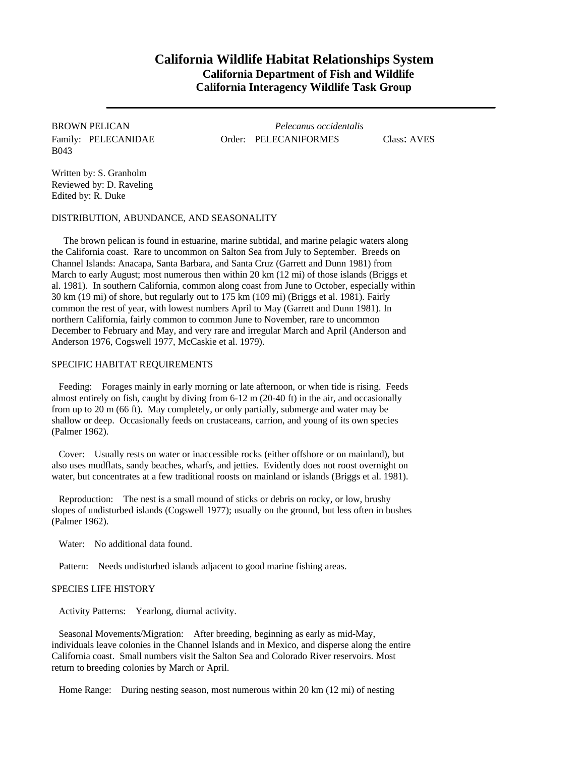# **California Wildlife Habitat Relationships System California Department of Fish and Wildlife California Interagency Wildlife Task Group**

B043

BROWN PELICAN *Pelecanus occidentalis* Family: PELECANIDAE Order: PELECANIFORMES Class: AVES

Written by: S. Granholm Reviewed by: D. Raveling Edited by: R. Duke

DISTRIBUTION, ABUNDANCE, AND SEASONALITY

The brown pelican is found in estuarine, marine subtidal, and marine pelagic waters along the California coast. Rare to uncommon on Salton Sea from July to September. Breeds on Channel Islands: Anacapa, Santa Barbara, and Santa Cruz (Garrett and Dunn 1981) from March to early August; most numerous then within 20 km (12 mi) of those islands (Briggs et al. 1981). In southern California, common along coast from June to October, especially within 30 km (19 mi) of shore, but regularly out to 175 km (109 mi) (Briggs et al. 1981). Fairly common the rest of year, with lowest numbers April to May (Garrett and Dunn 1981). In northern California, fairly common to common June to November, rare to uncommon December to February and May, and very rare and irregular March and April (Anderson and Anderson 1976, Cogswell 1977, McCaskie et al. 1979).

## SPECIFIC HABITAT REQUIREMENTS

Feeding: Forages mainly in early morning or late afternoon, or when tide is rising. Feeds almost entirely on fish, caught by diving from 6-12 m (20-40 ft) in the air, and occasionally from up to 20 m (66 ft). May completely, or only partially, submerge and water may be shallow or deep. Occasionally feeds on crustaceans, carrion, and young of its own species (Palmer 1962).

Cover: Usually rests on water or inaccessible rocks (either offshore or on mainland), but also uses mudflats, sandy beaches, wharfs, and jetties. Evidently does not roost overnight on water, but concentrates at a few traditional roosts on mainland or islands (Briggs et al. 1981).

Reproduction: The nest is a small mound of sticks or debris on rocky, or low, brushy slopes of undisturbed islands (Cogswell 1977); usually on the ground, but less often in bushes (Palmer 1962).

Water: No additional data found.

Pattern: Needs undisturbed islands adjacent to good marine fishing areas.

## SPECIES LIFE HISTORY

Activity Patterns: Yearlong, diurnal activity.

Seasonal Movements/Migration: After breeding, beginning as early as mid-May, individuals leave colonies in the Channel Islands and in Mexico, and disperse along the entire California coast. Small numbers visit the Salton Sea and Colorado River reservoirs. Most return to breeding colonies by March or April.

Home Range: During nesting season, most numerous within 20 km (12 mi) of nesting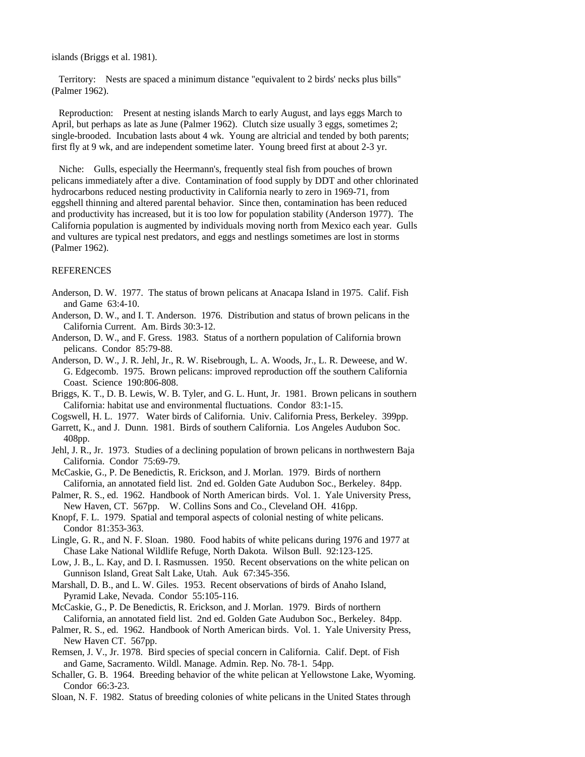islands (Briggs et al. 1981).

Territory: Nests are spaced a minimum distance "equivalent to 2 birds' necks plus bills" (Palmer 1962).

Reproduction: Present at nesting islands March to early August, and lays eggs March to April, but perhaps as late as June (Palmer 1962). Clutch size usually 3 eggs, sometimes 2; single-brooded. Incubation lasts about 4 wk. Young are altricial and tended by both parents; first fly at 9 wk, and are independent sometime later. Young breed first at about 2-3 yr.

Niche: Gulls, especially the Heermann's, frequently steal fish from pouches of brown pelicans immediately after a dive. Contamination of food supply by DDT and other chlorinated hydrocarbons reduced nesting productivity in California nearly to zero in 1969-71, from eggshell thinning and altered parental behavior. Since then, contamination has been reduced and productivity has increased, but it is too low for population stability (Anderson 1977). The California population is augmented by individuals moving north from Mexico each year. Gulls and vultures are typical nest predators, and eggs and nestlings sometimes are lost in storms (Palmer 1962).

#### REFERENCES

- Anderson, D. W. 1977. The status of brown pelicans at Anacapa Island in 1975. Calif. Fish and Game 63:4-10.
- Anderson, D. W., and I. T. Anderson. 1976. Distribution and status of brown pelicans in the California Current. Am. Birds 30:3-12.
- Anderson, D. W., and F. Gress. 1983. Status of a northern population of California brown pelicans. Condor 85:79-88.
- Anderson, D. W., J. R. Jehl, Jr., R. W. Risebrough, L. A. Woods, Jr., L. R. Deweese, and W. G. Edgecomb. 1975. Brown pelicans: improved reproduction off the southern California Coast. Science 190:806-808.
- Briggs, K. T., D. B. Lewis, W. B. Tyler, and G. L. Hunt, Jr. 1981. Brown pelicans in southern California: habitat use and environmental fluctuations. Condor 83:1-15.
- Cogswell, H. L. 1977. Water birds of California. Univ. California Press, Berkeley. 399pp.
- Garrett, K., and J. Dunn. 1981. Birds of southern California. Los Angeles Audubon Soc. 408pp.
- Jehl, J. R., Jr. 1973. Studies of a declining population of brown pelicans in northwestern Baja California. Condor 75:69-79.
- McCaskie, G., P. De Benedictis, R. Erickson, and J. Morlan. 1979. Birds of northern California, an annotated field list. 2nd ed. Golden Gate Audubon Soc., Berkeley. 84pp.
- Palmer, R. S., ed. 1962. Handbook of North American birds. Vol. 1. Yale University Press, New Haven, CT. 567pp. W. Collins Sons and Co., Cleveland OH. 416pp.
- Knopf, F. L. 1979. Spatial and temporal aspects of colonial nesting of white pelicans. Condor 81:353-363.
- Lingle, G. R., and N. F. Sloan. 1980. Food habits of white pelicans during 1976 and 1977 at Chase Lake National Wildlife Refuge, North Dakota. Wilson Bull. 92:123-125.
- Low, J. B., L. Kay, and D. I. Rasmussen. 1950. Recent observations on the white pelican on Gunnison Island, Great Salt Lake, Utah. Auk 67:345-356.
- Marshall, D. B., and L. W. Giles. 1953. Recent observations of birds of Anaho Island, Pyramid Lake, Nevada. Condor 55:105-116.
- McCaskie, G., P. De Benedictis, R. Erickson, and J. Morlan. 1979. Birds of northern California, an annotated field list. 2nd ed. Golden Gate Audubon Soc., Berkeley. 84pp.
- Palmer, R. S., ed. 1962. Handbook of North American birds. Vol. 1. Yale University Press, New Haven CT. 567pp.
- Remsen, J. V., Jr. 1978. Bird species of special concern in California. Calif. Dept. of Fish and Game, Sacramento. Wildl. Manage. Admin. Rep. No. 78-1. 54pp.
- Schaller, G. B. 1964. Breeding behavior of the white pelican at Yellowstone Lake, Wyoming. Condor 66:3-23.
- Sloan, N. F. 1982. Status of breeding colonies of white pelicans in the United States through